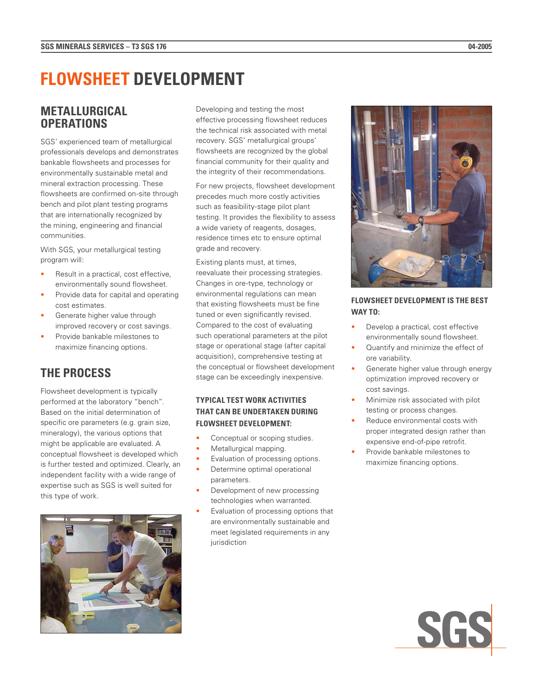# **FLOWSHEET DEVELOPMENT**

# **METALLURGICAL OPERATIONS**

SGS' experienced team of metallurgical professionals develops and demonstrates bankable flowsheets and processes for environmentally sustainable metal and mineral extraction processing. These flowsheets are confirmed on-site through bench and pilot plant testing programs that are internationally recognized by the mining, engineering and financial communities.

With SGS, your metallurgical testing program will:

- Result in a practical, cost effective, environmentally sound flowsheet.
- Provide data for capital and operating cost estimates.
- Generate higher value through improved recovery or cost savings.
- Provide bankable milestones to maximize financing options.

# **THE PROCESS**

Flowsheet development is typically performed at the laboratory "bench". Based on the initial determination of specific ore parameters (e.g. grain size, mineralogy), the various options that might be applicable are evaluated. A conceptual flowsheet is developed which is further tested and optimized. Clearly, an independent facility with a wide range of expertise such as SGS is well suited for this type of work.



Developing and testing the most effective processing flowsheet reduces the technical risk associated with metal recovery. SGS' metallurgical groups' flowsheets are recognized by the global financial community for their quality and the integrity of their recommendations.

For new projects, flowsheet development precedes much more costly activities such as feasibility-stage pilot plant testing. It provides the flexibility to assess a wide variety of reagents, dosages, residence times etc to ensure optimal grade and recovery.

Existing plants must, at times, reevaluate their processing strategies. Changes in ore-type, technology or environmental regulations can mean that existing flowsheets must be fine tuned or even significantly revised. Compared to the cost of evaluating such operational parameters at the pilot stage or operational stage (after capital acquisition), comprehensive testing at the conceptual or flowsheet development stage can be exceedingly inexpensive.

## **TYPICAL TEST WORK ACTIVITIES THAT CAN BE UNDERTAKEN DURING FLOWSHEET DEVELOPMENT:**

- Conceptual or scoping studies.
- Metallurgical mapping.
- Evaluation of processing options.
- Determine optimal operational parameters.
- Development of new processing technologies when warranted.
- Evaluation of processing options that are environmentally sustainable and meet legislated requirements in any jurisdiction



## **FLOWSHEET DEVELOPMENT IS THE BEST WAY TO:**

- Develop a practical, cost effective environmentally sound flowsheet.
- Quantify and minimize the effect of ore variability.
- Generate higher value through energy optimization improved recovery or cost savings.
- Minimize risk associated with pilot testing or process changes.
- Reduce environmental costs with proper integrated design rather than expensive end-of-pipe retrofit.
- Provide bankable milestones to maximize financing options.

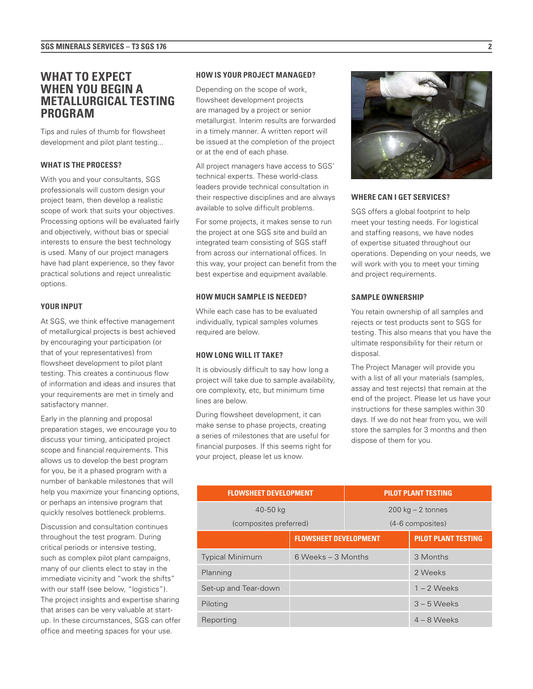# **WHAT TO EXPECT WHEN YOU BEGIN A METALLURGICAL TESTING PROGRAM**

Tips and rules of thumb for flowsheet development and pilot plant testing...

#### **WHAT IS THE PROCESS?**

With you and your consultants, SGS professionals will custom design your project team, then develop a realistic scope of work that suits your objectives. Processing options will be evaluated fairly and objectively, without bias or special interests to ensure the best technology is used. Many of our project managers have had plant experience, so they favor practical solutions and reject unrealistic options.

#### **YOUR INPUT**

At SGS, we think effective management of metallurgical projects is best achieved by encouraging your participation (or that of your representatives) from flowsheet development to pilot plant testing. This creates a continuous flow of information and ideas and insures that your requirements are met in timely and satisfactory manner.

Early in the planning and proposal preparation stages, we encourage you to discuss your timing, anticipated project scope and financial requirements. This allows us to develop the best program for you, be it a phased program with a number of bankable milestones that will help you maximize your financing options, or perhaps an intensive program that quickly resolves bottleneck problems.

Discussion and consultation continues throughout the test program. During critical periods or intensive testing, such as complex pilot plant campaigns, many of our clients elect to stay in the immediate vicinity and "work the shifts" with our staff (see below, "logistics"). The project insights and expertise sharing that arises can be very valuable at startup. In these circumstances, SGS can offer office and meeting spaces for your use.

#### **HOW IS YOUR PROJECT MANAGED?**

Depending on the scope of work, flowsheet development projects are managed by a project or senior metallurgist. Interim results are forwarded in a timely manner. A written report will be issued at the completion of the project or at the end of each phase.

All project managers have access to SGS' technical experts. These world-class leaders provide technical consultation in their respective disciplines and are always available to solve difficult problems.

For some projects, it makes sense to run the project at one SGS site and build an integrated team consisting of SGS staff from across our international offices. In this way, your project can benefit from the best expertise and equipment available.

#### **HOW MUCH SAMPLE IS NEEDED?**

While each case has to be evaluated individually, typical samples volumes required are below.

#### **HOW LONG WILL IT TAKE?**

It is obviously difficult to say how long a project will take due to sample availability, ore complexity, etc, but minimum time lines are below.

During flowsheet development, it can make sense to phase projects, creating a series of milestones that are useful for financial purposes. If this seems right for your project, please let us know.



#### **WHERE CAN I GET SERVICES?**

SGS offers a global footprint to help meet your testing needs. For logistical and staffing reasons, we have nodes of expertise situated throughout our operations. Depending on your needs, we will work with you to meet your timing and project requirements.

#### **SAMPLE OWNERSHIP**

You retain ownership of all samples and rejects or test products sent to SGS for testing. This also means that you have the ultimate responsibility for their return or disposal.

The Project Manager will provide you with a list of all your materials (samples, assay and test rejects) that remain at the end of the project. Please let us have your instructions for these samples within 30 days. If we do not hear from you, we will store the samples for 3 months and then dispose of them for you.

| <b>FLOWSHEET DEVELOPMENT</b> |                              | <b>PILOT PLANT TESTING</b> |                            |
|------------------------------|------------------------------|----------------------------|----------------------------|
| 40-50 kg                     |                              | $200$ kg $- 2$ tonnes      |                            |
| (composites preferred)       |                              | (4-6 composites)           |                            |
|                              | <b>FLOWSHEET DEVELOPMENT</b> |                            | <b>PILOT PLANT TESTING</b> |
| <b>Typical Minimum</b>       | $6$ Weeks $-3$ Months        |                            | 3 Months                   |
| Planning                     |                              |                            | 2 Weeks                    |
| Set-up and Tear-down         |                              |                            | $1 - 2$ Weeks              |
| Piloting                     |                              |                            | $3 - 5$ Weeks              |
| Reporting                    |                              |                            | $4 - 8$ Weeks              |